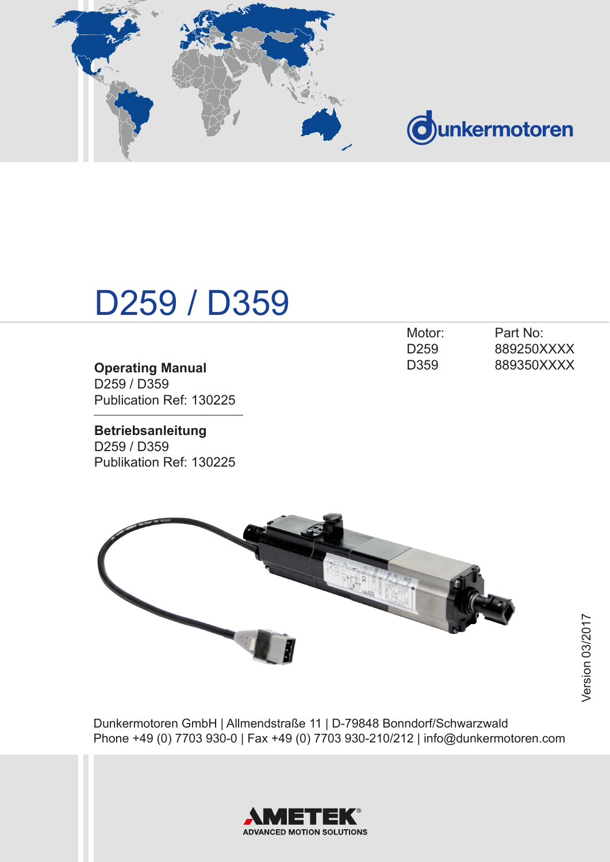

# **Ounkermotoren**

# D259 / D359

|                                     | DZJJ             | <u>UUJZJUVAVM</u> |
|-------------------------------------|------------------|-------------------|
| <b>Operating Manual</b>             | D <sub>359</sub> | 889350XXXX        |
| D <sub>259</sub> / D <sub>359</sub> |                  |                   |
| Publication Ref: 130225             |                  |                   |

**Betriebsanleitung** D259 / D359 Publikation Ref: 130225

| Motor:           | Part No:   |
|------------------|------------|
| D <sub>259</sub> | 889250XXXX |
| D <sub>359</sub> | 889350XXXX |



Dunkermotoren GmbH | Allmendstraße 11 | D-79848 Bonndorf/Schwarzwald Phone +49 (0) 7703 930-0 | Fax +49 (0) 7703 930-210/212 | info@dunkermotoren.com

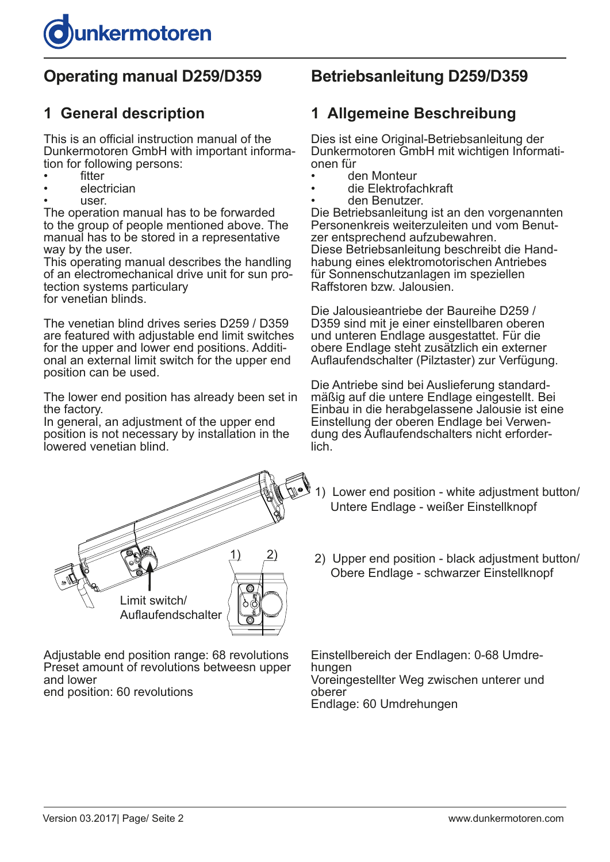

# **Operating manual D259/D359**

## **1 General description**

This is an official instruction manual of the Dunkermotoren GmbH with important information for following persons:

- **fitter**
- electrician
- user.

The operation manual has to be forwarded to the group of people mentioned above. The manual has to be stored in a representative way by the user.

This operating manual describes the handling of an electromechanical drive unit for sun protection systems particulary for venetian blinds.

The venetian blind drives series D259 / D359 are featured with adjustable end limit switches for the upper and lower end positions. Additional an external limit switch for the upper end position can be used.

The lower end position has already been set in the factory.

In general, an adjustment of the upper end position is not necessary by installation in the lowered venetian blind.



Adjustable end position range: 68 revolutions Preset amount of revolutions betweesn upper and lower

end position: 60 revolutions

## **Betriebsanleitung D259/D359**

## **1 Allgemeine Beschreibung**

Dies ist eine Original-Betriebsanleitung der Dunkermotoren GmbH mit wichtigen Informationen für

- den Monteur
- die Elektrofachkraft
- den Benutzer.

Die Betriebsanleitung ist an den vorgenannten Personenkreis weiterzuleiten und vom Benutzer entsprechend aufzubewahren. Diese Betriebsanleitung beschreibt die Handhabung eines elektromotorischen Antriebes für Sonnenschutzanlagen im speziellen Raffstoren bzw. Jalousien.

Die Jalousieantriebe der Baureihe D259 / D359 sind mit je einer einstellbaren oberen und unteren Endlage ausgestattet. Für die obere Endlage steht zusätzlich ein externer Auflaufendschalter (Pilztaster) zur Verfügung.

Die Antriebe sind bei Auslieferung standardmäßig auf die untere Endlage eingestellt. Bei Einbau in die herabgelassene Jalousie ist eine Einstellung der oberen Endlage bei Verwendung des Auflaufendschalters nicht erforderlich.

- 1) Lower end position white adjustment button/ Untere Endlage - weißer Einstellknopf
- 2) Upper end position black adjustment button/ Obere Endlage - schwarzer Einstellknopf

Einstellbereich der Endlagen: 0-68 Umdrehungen Voreingestellter Weg zwischen unterer und oberer Endlage: 60 Umdrehungen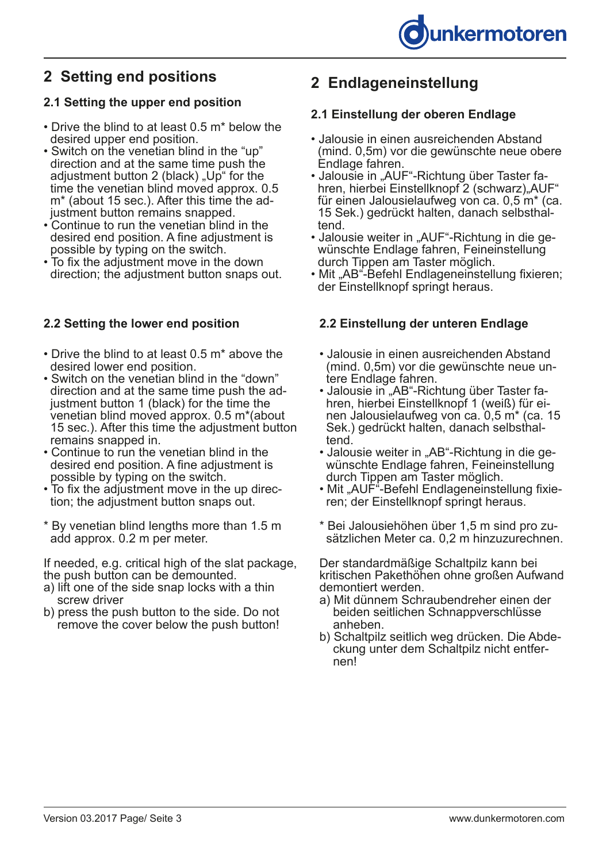# **2 Setting end positions**

#### **2.1 Setting the upper end position**

- Drive the blind to at least 0.5 m\* below the desired upper end position.
- Switch on the venetian blind in the "up" direction and at the same time push the adjustment button 2 (black) "Up" for the time the venetian blind moved approx. 0.5 m\* (about 15 sec.). After this time the ad justment button remains snapped.
- Continue to run the venetian blind in the desired end position. A fine adjustment is possible by typing on the switch.
- To fix the adjustment move in the down direction; the adjustment button snaps out.

### **2.2 Setting the lower end position**

- Drive the blind to at least 0.5 m\* above the desired lower end position.
- Switch on the venetian blind in the "down" direction and at the same time push the ad justment button 1 (black) for the time the venetian blind moved approx. 0.5 m\*(about 15 sec.). After this time the adjustment button remains snapped in.
- Continue to run the venetian blind in the desired end position. A fine adjustment is possible by typing on the switch.
- To fix the adjustment move in the up direc tion; the adjustment button snaps out.
- \* By venetian blind lengths more than 1.5 m add approx. 0.2 m per meter.

If needed, e.g. critical high of the slat package, the push button can be demounted.

- a) lift one of the side snap locks with a thin screw driver
- b) press the push button to the side. Do not remove the cover below the push button!

# **2 Endlageneinstellung**

#### **2.1 Einstellung der oberen Endlage**

- Jalousie in einen ausreichenden Abstand (mind. 0,5m) vor die gewünschte neue obere Endlage fahren.
- Jalousie in "AUF"-Richtung über Taster fahren, hierbei Einstellknopf 2 (schwarz) "AUF" für einen Jalousielaufweg von ca. 0,5 m\* (ca. 15 Sek.) gedrückt halten, danach selbsthal tend.
- Jalousie weiter in "AUF"-Richtung in die ge wünschte Endlage fahren, Feineinstellung durch Tippen am Taster möglich.
- Mit "AB"-Befehl Endlageneinstellung fixieren; der Einstellknopf springt heraus.

### **2.2 Einstellung der unteren Endlage**

- Jalousie in einen ausreichenden Abstand (mind. 0,5m) vor die gewünschte neue un tere Endlage fahren.
- Jalousie in "AB"-Richtung über Taster fa hren, hierbei Einstellknopf 1 (weiß) für ei nen Jalousielaufweg von ca. 0,5 m\* (ca. 15 Sek.) gedrückt halten, danach selbsthal tend.
- Jalousie weiter in "AB"-Richtung in die ge wünschte Endlage fahren, Feineinstellung durch Tippen am Taster möglich.
- Mit "AUF"-Befehl Endlageneinstellung fixieren; der Einstellknopf springt heraus.
- \* Bei Jalousiehöhen über 1,5 m sind pro zu sätzlichen Meter ca. 0,2 m hinzuzurechnen.

Der standardmäßige Schaltpilz kann bei kritischen Pakethöhen ohne großen Aufwand demontiert werden.

- a) Mit dünnem Schraubendreher einen der beiden seitlichen Schnappverschlüsse anheben.
- b) Schaltpilz seitlich weg drücken. Die Abde ckung unter dem Schaltpilz nicht entfer nen!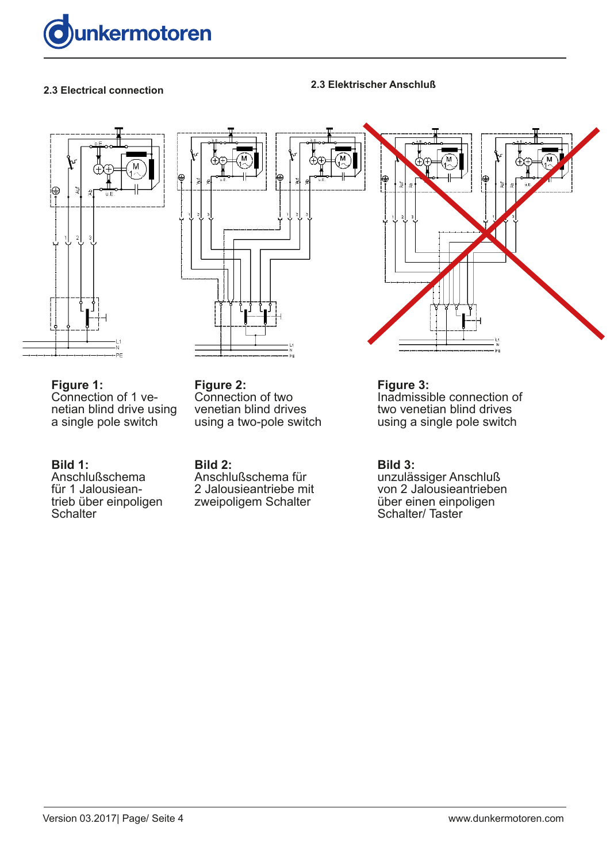





**Figure 1:** Connection of 1 venetian blind drive using a single pole switch

#### **Bild 1:**

Anschlußschema für 1 Jalousieantrieb über einpoligen **Schalter** 

**Figure 2:** Connection of two venetian blind drives using a two-pole switch

**Bild 2:** Anschlußschema für 2 Jalousieantriebe mit zweipoligem Schalter

**Figure 3:** Inadmissible connection of

two venetian blind drives using a single pole switch

#### **Bild 3:**

unzulässiger Anschluß von 2 Jalousieantrieben über einen einpoligen Schalter/Taster

**2.3 Electrical connection 2.3 Elektrischer Anschluß**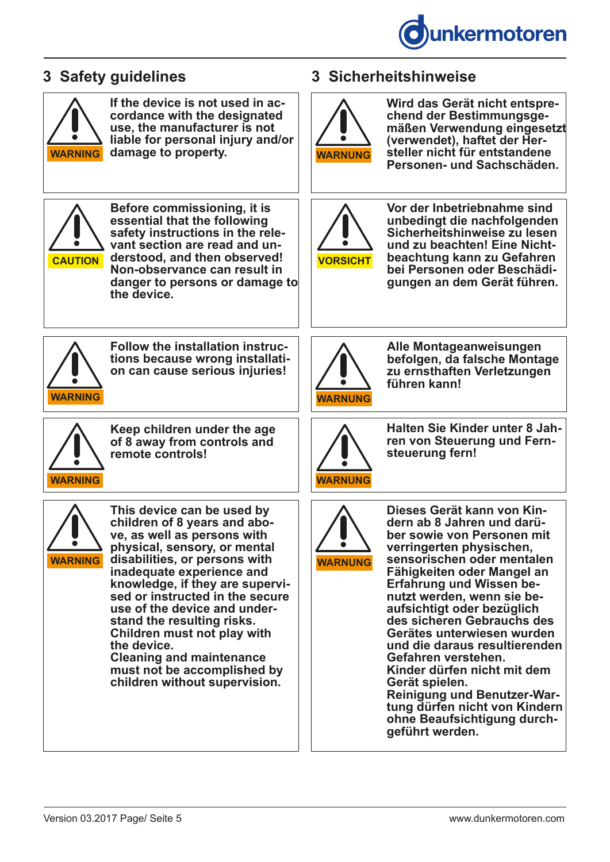

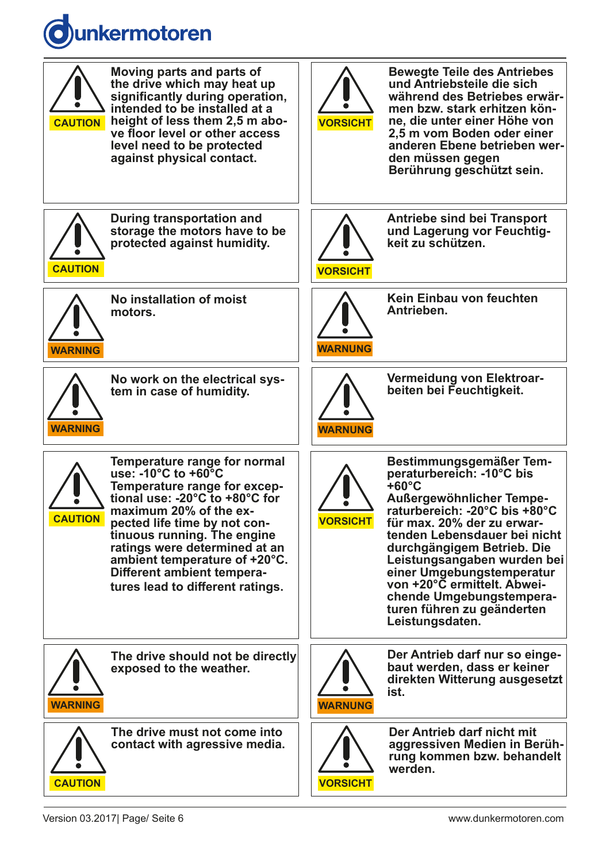# **unkermotoren**

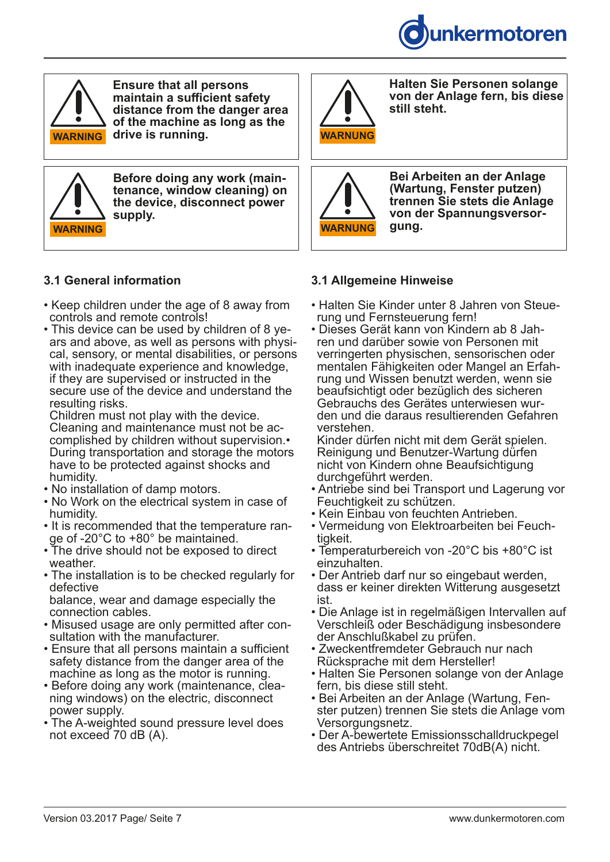

**Halten Sie Personen solange von der Anlage fern, bis diese** 

**Bei Arbeiten an der Anlage (Wartung, Fenster putzen) trennen Sie stets die Anlage von der Spannungsversor-**



**WARNING NOTICE WARNUNG HINWEIS drive is running. Ensure that all persons maintain a sufficient safety distance from the danger area of the machine as long as the** 



**Before doing any work (maintenance, window cleaning) on the device, disconnect power supply.**

### **3.1 General information**

- Keep children under the age of 8 away from controls and remote controls!
- This device can be used by children of 8 years and above, as well as persons with physical, sensory, or mental disabilities, or persons with inadequate experience and knowledge, if they are supervised or instructed in the secure use of the device and understand the resulting risks.

Children must not play with the device. Cleaning and maintenance must not be accomplished by children without supervision.• During transportation and storage the motors have to be protected against shocks and humidity.

- No installation of damp motors.
- No Work on the electrical system in case of humidity.
- It is recommended that the temperature range of -20°C to +80° be maintained.
- The drive should not be exposed to direct weather.
- The installation is to be checked regularly for defective

balance, wear and damage especially the connection cables.

- Misused usage are only permitted after consultation with the manufacturer.
- Ensure that all persons maintain a sufficient safety distance from the danger area of the machine as long as the motor is running.
- Before doing any work (maintenance, cleaning windows) on the electric, disconnect power supply.
- The A-weighted sound pressure level does not exceed 70 dB (A).

# **3.1 Allgemeine Hinweise**

**gung.**

• Halten Sie Kinder unter 8 Jahren von Steue- rung und Fernsteuerung fern!

**still steht.**

ren und darüber sowie von Personen mit verringerten physischen, sensorischen oder mentalen Fähigkeiten oder Mangel an Erfahrung und Wissen benutzt werden, wenn sie beaufsichtigt oder bezüglich des sicheren Gebrauchs des Gerätes unterwiesen wurden und die daraus resultierenden Gefahren verstehen.

Kinder dürfen nicht mit dem Gerät spielen. Reinigung und Benutzer-Wartung dürfen nicht von Kindern ohne Beaufsichtigung durchgeführt werden.

- Antriebe sind bei Transport und Lagerung vor Feuchtigkeit zu schützen.
- Kein Einbau von feuchten Antrieben.
- Vermeidung von Elektroarbeiten bei Feuchtigkeit.
- Temperaturbereich von -20°C bis +80°C ist einzuhalten.
- Der Antrieb darf nur so eingebaut werden, dass er keiner direkten Witterung ausgesetzt ist.
- Die Anlage ist in regelmäßigen Intervallen auf Verschleiß oder Beschädigung insbesondere der Anschlußkabel zu prüfen.
- Zweckentfremdeter Gebrauch nur nach Rücksprache mit dem Hersteller!
- Halten Sie Personen solange von der Anlage fern, bis diese still steht.
- Bei Arbeiten an der Anlage (Wartung, Fenster putzen) trennen Sie stets die Anlage vom Versorgungsnetz.
- Der A-bewertete Emissionsschalldruckpegel des Antriebs überschreitet 70dB(A) nicht.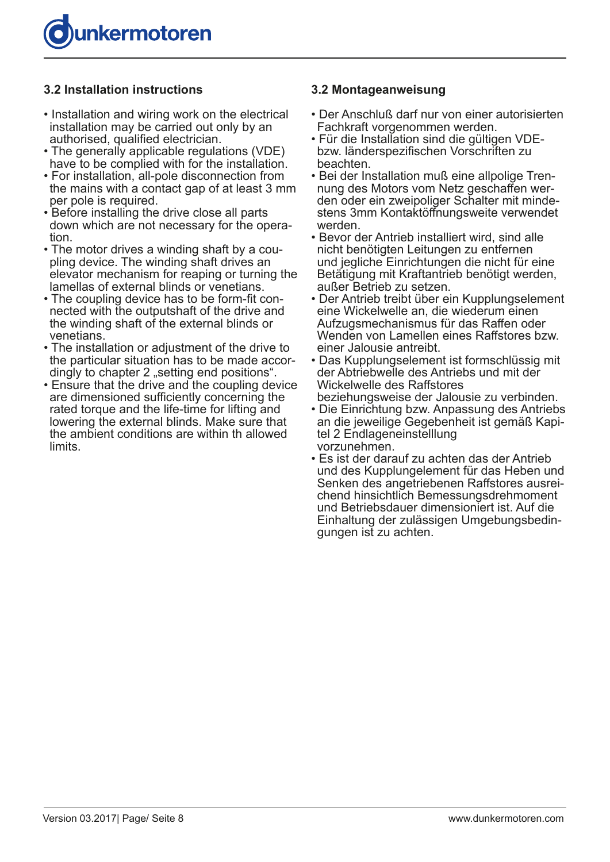

#### **3.2 Installation instructions**

- Installation and wiring work on the electrical installation may be carried out only by an authorised, qualified electrician.
- The generally applicable regulations (VDE) have to be complied with for the installation.
- For installation, all-pole disconnection from the mains with a contact gap of at least 3 mm per pole is required.
- Before installing the drive close all parts down which are not necessary for the operation.
- The motor drives a winding shaft by a coupling device. The winding shaft drives an elevator mechanism for reaping or turning the lamellas of external blinds or venetians.
- The coupling device has to be form-fit connected with the outputshaft of the drive and the winding shaft of the external blinds or venetians.
- The installation or adjustment of the drive to the particular situation has to be made accordingly to chapter 2 "setting end positions".
- Ensure that the drive and the coupling device are dimensioned sufficiently concerning the rated torque and the life-time for lifting and lowering the external blinds. Make sure that the ambient conditions are within th allowed limits.

#### **3.2 Montageanweisung**

- Der Anschluß darf nur von einer autorisierten Fachkraft vorgenommen werden.
- Für die Installation sind die gültigen VDEbzw. länderspezifischen Vorschriften zu beachten.
- Bei der Installation muß eine allpolige Trennung des Motors vom Netz geschaffen werden oder ein zweipoliger Schalter mit mindestens 3mm Kontaktöffnungsweite verwendet werden.
- Bevor der Antrieb installiert wird, sind alle nicht benötigten Leitungen zu entfernen und jegliche Einrichtungen die nicht für eine Betätigung mit Kraftantrieb benötigt werden, außer Betrieb zu setzen.
- Der Antrieb treibt über ein Kupplungselement eine Wickelwelle an, die wiederum einen Aufzugsmechanismus für das Raffen oder Wenden von Lamellen eines Raffstores bzw. einer Jalousie antreibt.
- Das Kupplungselement ist formschlüssig mit der Abtriebwelle des Antriebs und mit der Wickelwelle des Raffstores beziehungsweise der Jalousie zu verbinden.
- Die Einrichtung bzw. Anpassung des Antriebs an die jeweilige Gegebenheit ist gemäß Kapitel 2 Endlageneinstelllung vorzunehmen.
- Es ist der darauf zu achten das der Antrieb und des Kupplungelement für das Heben und Senken des angetriebenen Raffstores ausreichend hinsichtlich Bemessungsdrehmoment und Betriebsdauer dimensioniert ist. Auf die Einhaltung der zulässigen Umgebungsbedingungen ist zu achten.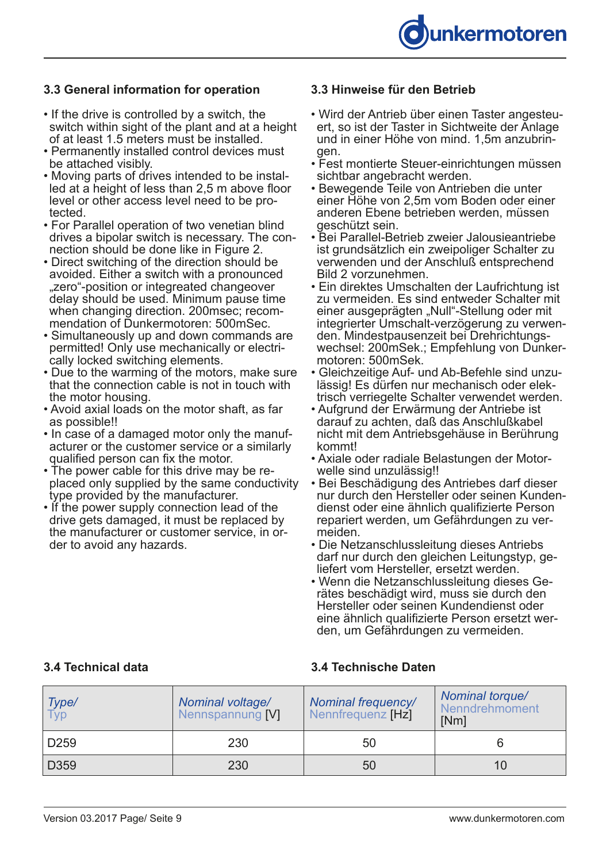#### **3.3 General information for operation**

- If the drive is controlled by a switch, the switch within sight of the plant and at a height of at least 1.5 meters must be installed.
- Permanently installed control devices must be attached visibly.
- Moving parts of drives intended to be installed at a height of less than 2,5 m above floor level or other access level need to be protected.
- For Parallel operation of two venetian blind drives a bipolar switch is necessary. The connection should be done like in Figure 2.
- Direct switching of the direction should be avoided. Either a switch with a pronounced "zero"-position or integreated changeover delay should be used. Minimum pause time when changing direction. 200msec; recommendation of Dunkermotoren: 500mSec.
- Simultaneously up and down commands are permitted! Only use mechanically or electrically locked switching elements.
- Due to the warming of the motors, make sure that the connection cable is not in touch with the motor housing.
- Avoid axial loads on the motor shaft, as far as possible!!
- In case of a damaged motor only the manufacturer or the customer service or a similarly qualified person can fix the motor.
- The power cable for this drive may be replaced only supplied by the same conductivity type provided by the manufacturer.
- If the power supply connection lead of the drive gets damaged, it must be replaced by the manufacturer or customer service, in order to avoid any hazards.

#### **3.3 Hinweise für den Betrieb**

- Wird der Antrieb über einen Taster angesteuert, so ist der Taster in Sichtweite der Anlage und in einer Höhe von mind. 1,5m anzubringen.
- Fest montierte Steuer-einrichtungen müssen sichtbar angebracht werden.
- Bewegende Teile von Antrieben die unter einer Höhe von 2,5m vom Boden oder einer anderen Ebene betrieben werden, müssen geschützt sein.
- Bei Parallel-Betrieb zweier Jalousieantriebe ist grundsätzlich ein zweipoliger Schalter zu verwenden und der Anschluß entsprechend Bild 2 vorzunehmen.
- Ein direktes Umschalten der Laufrichtung ist zu vermeiden. Es sind entweder Schalter mit einer ausgeprägten "Null"-Stellung oder mit integrierter Umschalt-verzögerung zu verwenden. Mindestpausenzeit bei Drehrichtungswechsel: 200mSek.; Empfehlung von Dunkermotoren: 500mSek.
- Gleichzeitige Auf- und Ab-Befehle sind unzulässig! Es dürfen nur mechanisch oder elektrisch verriegelte Schalter verwendet werden.
- Aufgrund der Erwärmung der Antriebe ist darauf zu achten, daß das Anschlußkabel nicht mit dem Antriebsgehäuse in Berührung kommt!
- Axiale oder radiale Belastungen der Motorwelle sind unzulässig!!
- Bei Beschädigung des Antriebes darf dieser nur durch den Hersteller oder seinen Kundendienst oder eine ähnlich qualifizierte Person repariert werden, um Gefährdungen zu vermeiden.
- Die Netzanschlussleitung dieses Antriebs darf nur durch den gleichen Leitungstyp, geliefert vom Hersteller, ersetzt werden.
- Wenn die Netzanschlussleitung dieses Gerätes beschädigt wird, muss sie durch den Hersteller oder seinen Kundendienst oder eine ähnlich qualifizierte Person ersetzt werden, um Gefährdungen zu vermeiden.

#### **3.4 Technical data 3.4 Technische Daten**

| Type/<br>Typ     | Nominal voltage/<br>Nennspannung [V] | <b>Nominal frequency/</b><br>Nennfrequenz [Hz] | Nominal torque/<br>Nenndrehmoment<br>[Nm] |
|------------------|--------------------------------------|------------------------------------------------|-------------------------------------------|
| D <sub>259</sub> | 230                                  | 50                                             |                                           |
| D359             | 230                                  | 50                                             | 10                                        |